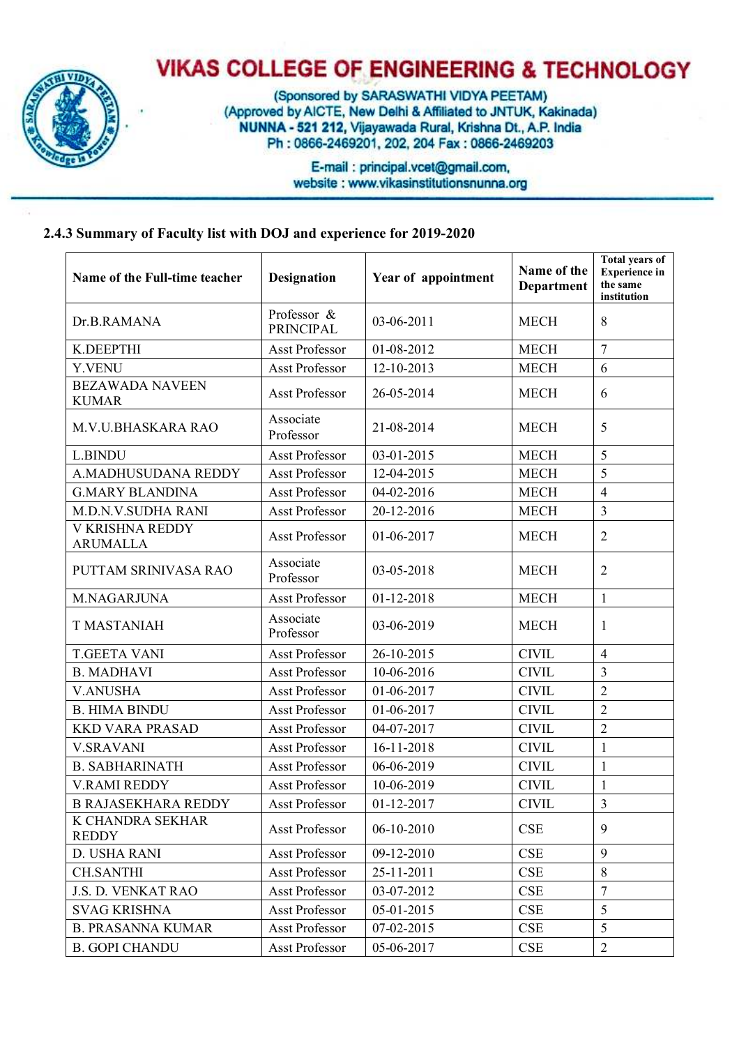

## **VIKAS COLLEGE OF ENGINEERING & TECHNOLOGY**

(Sponsored by SARASWATHI VIDYA PEETAM) (Approved by AICTE, New Delhi & Affiliated to JNTUK, Kakinada) NUNNA - 521 212, Vijayawada Rural, Krishna Dt., A.P. India Ph: 0866-2469201, 202, 204 Fax: 0866-2469203

> E-mail: principal.vcet@gmail.com, website : www.vikasinstitutionsnunna.org

## **2.4.3 Summary of Faculty list with DOJ and experience for 2019-2020**

| Name of the Full-time teacher          | Designation                     | Year of appointment | Name of the<br>Department | <b>Total years of</b><br><b>Experience</b> in<br>the same<br>institution |
|----------------------------------------|---------------------------------|---------------------|---------------------------|--------------------------------------------------------------------------|
| Dr.B.RAMANA                            | Professor &<br><b>PRINCIPAL</b> | 03-06-2011          | <b>MECH</b>               | 8                                                                        |
| K.DEEPTHI                              | <b>Asst Professor</b>           | 01-08-2012          | <b>MECH</b>               | $\overline{7}$                                                           |
| Y.VENU                                 | Asst Professor                  | 12-10-2013          | <b>MECH</b>               | 6                                                                        |
| <b>BEZAWADA NAVEEN</b><br><b>KUMAR</b> | <b>Asst Professor</b>           | 26-05-2014          | <b>MECH</b>               | 6                                                                        |
| <b>M.V.U.BHASKARA RAO</b>              | Associate<br>Professor          | 21-08-2014          | <b>MECH</b>               | 5                                                                        |
| <b>L.BINDU</b>                         | <b>Asst Professor</b>           | 03-01-2015          | <b>MECH</b>               | 5                                                                        |
| A.MADHUSUDANA REDDY                    | <b>Asst Professor</b>           | 12-04-2015          | <b>MECH</b>               | 5                                                                        |
| <b>G.MARY BLANDINA</b>                 | <b>Asst Professor</b>           | 04-02-2016          | <b>MECH</b>               | $\overline{4}$                                                           |
| <b>M.D.N.V.SUDHA RANI</b>              | <b>Asst Professor</b>           | 20-12-2016          | <b>MECH</b>               | $\overline{3}$                                                           |
| V KRISHNA REDDY<br><b>ARUMALLA</b>     | <b>Asst Professor</b>           | 01-06-2017          | <b>MECH</b>               | $\overline{2}$                                                           |
| PUTTAM SRINIVASA RAO                   | Associate<br>Professor          | 03-05-2018          | <b>MECH</b>               | $\overline{2}$                                                           |
| M.NAGARJUNA                            | <b>Asst Professor</b>           | $01 - 12 - 2018$    | <b>MECH</b>               | $\mathbf{1}$                                                             |
| <b>T MASTANIAH</b>                     | Associate<br>Professor          | 03-06-2019          | <b>MECH</b>               | $\mathbf{1}$                                                             |
| <b>T.GEETA VANI</b>                    | <b>Asst Professor</b>           | 26-10-2015          | <b>CIVIL</b>              | $\overline{4}$                                                           |
| <b>B. MADHAVI</b>                      | <b>Asst Professor</b>           | 10-06-2016          | <b>CIVIL</b>              | $\overline{3}$                                                           |
| <b>V.ANUSHA</b>                        | <b>Asst Professor</b>           | 01-06-2017          | <b>CIVIL</b>              | $\overline{2}$                                                           |
| <b>B. HIMA BINDU</b>                   | <b>Asst Professor</b>           | 01-06-2017          | <b>CIVIL</b>              | $\overline{2}$                                                           |
| <b>KKD VARA PRASAD</b>                 | <b>Asst Professor</b>           | 04-07-2017          | <b>CIVIL</b>              | $\overline{2}$                                                           |
| <b>V.SRAVANI</b>                       | Asst Professor                  | 16-11-2018          | <b>CIVIL</b>              | $\mathbf{1}$                                                             |
| <b>B. SABHARINATH</b>                  | Asst Professor                  | 06-06-2019          | <b>CIVIL</b>              | $\mathbf{1}$                                                             |
| V.RAMI REDDY                           | <b>Asst Professor</b>           | 10-06-2019          | <b>CIVIL</b>              | $\mathbf{1}$                                                             |
| <b>B RAJASEKHARA REDDY</b>             | <b>Asst Professor</b>           | 01-12-2017          | <b>CIVIL</b>              | $\overline{3}$                                                           |
| K CHANDRA SEKHAR<br><b>REDDY</b>       | Asst Professor                  | 06-10-2010          | CSE                       | 9                                                                        |
| D. USHA RANI                           | <b>Asst Professor</b>           | 09-12-2010          | CSE                       | 9                                                                        |
| <b>CH.SANTHI</b>                       | <b>Asst Professor</b>           | 25-11-2011          | CSE                       | 8                                                                        |
| J.S. D. VENKAT RAO                     | <b>Asst Professor</b>           | 03-07-2012          | CSE                       | $\tau$                                                                   |
| <b>SVAG KRISHNA</b>                    | Asst Professor                  | 05-01-2015          | <b>CSE</b>                | 5                                                                        |
| <b>B. PRASANNA KUMAR</b>               | Asst Professor                  | 07-02-2015          | CSE                       | 5                                                                        |
| <b>B. GOPI CHANDU</b>                  | Asst Professor                  | 05-06-2017          | CSE                       | $\overline{2}$                                                           |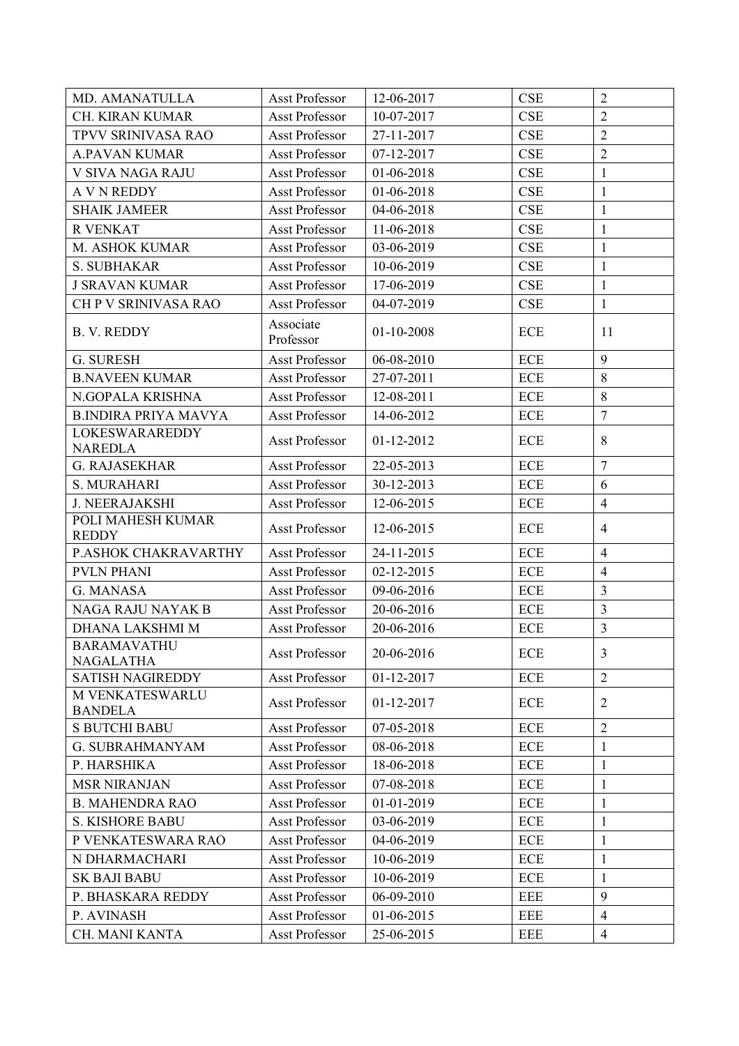| MD. AMANATULLA                          | Asst Professor         | 12-06-2017       | CSE        | $\overline{2}$ |
|-----------------------------------------|------------------------|------------------|------------|----------------|
| CH. KIRAN KUMAR                         | Asst Professor         | 10-07-2017       | <b>CSE</b> | $\overline{2}$ |
| TPVV SRINIVASA RAO                      | <b>Asst Professor</b>  | 27-11-2017       | CSE        | $\overline{2}$ |
| <b>A.PAVAN KUMAR</b>                    | <b>Asst Professor</b>  | 07-12-2017       | <b>CSE</b> | $\overline{2}$ |
| V SIVA NAGA RAJU                        | <b>Asst Professor</b>  | 01-06-2018       | CSE        | $\mathbf{1}$   |
| <b>A V N REDDY</b>                      | <b>Asst Professor</b>  | 01-06-2018       | <b>CSE</b> | $\mathbf{1}$   |
| <b>SHAIK JAMEER</b>                     | <b>Asst Professor</b>  | 04-06-2018       | CSE        | $\mathbf{1}$   |
| <b>R VENKAT</b>                         | <b>Asst Professor</b>  | 11-06-2018       | <b>CSE</b> | $\mathbf{1}$   |
| M. ASHOK KUMAR                          | <b>Asst Professor</b>  | 03-06-2019       | CSE        | $\mathbf{1}$   |
| <b>S. SUBHAKAR</b>                      | <b>Asst Professor</b>  | 10-06-2019       | CSE        | $\mathbf{1}$   |
| <b>J SRAVAN KUMAR</b>                   | <b>Asst Professor</b>  | 17-06-2019       | <b>CSE</b> | $\mathbf{1}$   |
| CH P V SRINIVASA RAO                    | Asst Professor         | 04-07-2019       | CSE        | $\mathbf{1}$   |
| <b>B. V. REDDY</b>                      | Associate<br>Professor | $01 - 10 - 2008$ | <b>ECE</b> | 11             |
| G. SURESH                               | <b>Asst Professor</b>  | 06-08-2010       | <b>ECE</b> | 9              |
| <b>B.NAVEEN KUMAR</b>                   | <b>Asst Professor</b>  | 27-07-2011       | <b>ECE</b> | 8              |
| N.GOPALA KRISHNA                        | <b>Asst Professor</b>  | 12-08-2011       | <b>ECE</b> | 8              |
| <b>B.INDIRA PRIYA MAVYA</b>             | <b>Asst Professor</b>  | 14-06-2012       | <b>ECE</b> | $\overline{7}$ |
| <b>LOKESWARAREDDY</b><br><b>NAREDLA</b> | <b>Asst Professor</b>  | 01-12-2012       | <b>ECE</b> | 8              |
| <b>G. RAJASEKHAR</b>                    | Asst Professor         | 22-05-2013       | <b>ECE</b> | $\overline{7}$ |
| <b>S. MURAHARI</b>                      | Asst Professor         | 30-12-2013       | ECE        | 6              |
| <b>J. NEERAJAKSHI</b>                   | Asst Professor         | 12-06-2015       | <b>ECE</b> | $\overline{4}$ |
| POLI MAHESH KUMAR<br><b>REDDY</b>       | Asst Professor         | 12-06-2015       | <b>ECE</b> | $\overline{4}$ |
| P.ASHOK CHAKRAVARTHY                    | <b>Asst Professor</b>  | 24-11-2015       | <b>ECE</b> | $\overline{4}$ |
| <b>PVLN PHANI</b>                       | <b>Asst Professor</b>  | 02-12-2015       | <b>ECE</b> | $\overline{4}$ |
| G. MANASA                               | <b>Asst Professor</b>  | 09-06-2016       | <b>ECE</b> | $\overline{3}$ |
| NAGA RAJU NAYAK B                       | <b>Asst Professor</b>  | 20-06-2016       | <b>ECE</b> | $\overline{3}$ |
| DHANA LAKSHMI M                         | <b>Asst Professor</b>  | 20-06-2016       | <b>ECE</b> | $\overline{3}$ |
| <b>BARAMAVATHU</b><br><b>NAGALATHA</b>  | <b>Asst Professor</b>  | 20-06-2016       | <b>ECE</b> | 3              |
| <b>SATISH NAGIREDDY</b>                 | <b>Asst Professor</b>  | 01-12-2017       | <b>ECE</b> | $\overline{2}$ |
| M VENKATESWARLU<br><b>BANDELA</b>       | Asst Professor         | 01-12-2017       | <b>ECE</b> | $\overline{2}$ |
| <b>S BUTCHI BABU</b>                    | Asst Professor         | 07-05-2018       | <b>ECE</b> | $\overline{2}$ |
| <b>G. SUBRAHMANYAM</b>                  | <b>Asst Professor</b>  | 08-06-2018       | <b>ECE</b> | 1              |
| P. HARSHIKA                             | <b>Asst Professor</b>  | 18-06-2018       | ECE        | $\mathbf{1}$   |
| <b>MSR NIRANJAN</b>                     | <b>Asst Professor</b>  | 07-08-2018       | <b>ECE</b> | $\mathbf{1}$   |
| <b>B. MAHENDRA RAO</b>                  | <b>Asst Professor</b>  | 01-01-2019       | <b>ECE</b> | $\mathbf{1}$   |
| <b>S. KISHORE BABU</b>                  | <b>Asst Professor</b>  | 03-06-2019       | ECE        | $\mathbf{1}$   |
| P VENKATESWARA RAO                      | Asst Professor         | 04-06-2019       | ECE        | $\mathbf{1}$   |
| N DHARMACHARI                           | <b>Asst Professor</b>  | 10-06-2019       | <b>ECE</b> | $\mathbf{1}$   |
| <b>SK BAJI BABU</b>                     | <b>Asst Professor</b>  | 10-06-2019       | <b>ECE</b> | $\mathbf{1}$   |
| P. BHASKARA REDDY                       | <b>Asst Professor</b>  | 06-09-2010       | EEE        | 9              |
| P. AVINASH                              | <b>Asst Professor</b>  | $01 - 06 - 2015$ | <b>EEE</b> | $\overline{4}$ |
| CH. MANI KANTA                          | <b>Asst Professor</b>  | 25-06-2015       | <b>EEE</b> | $\overline{4}$ |